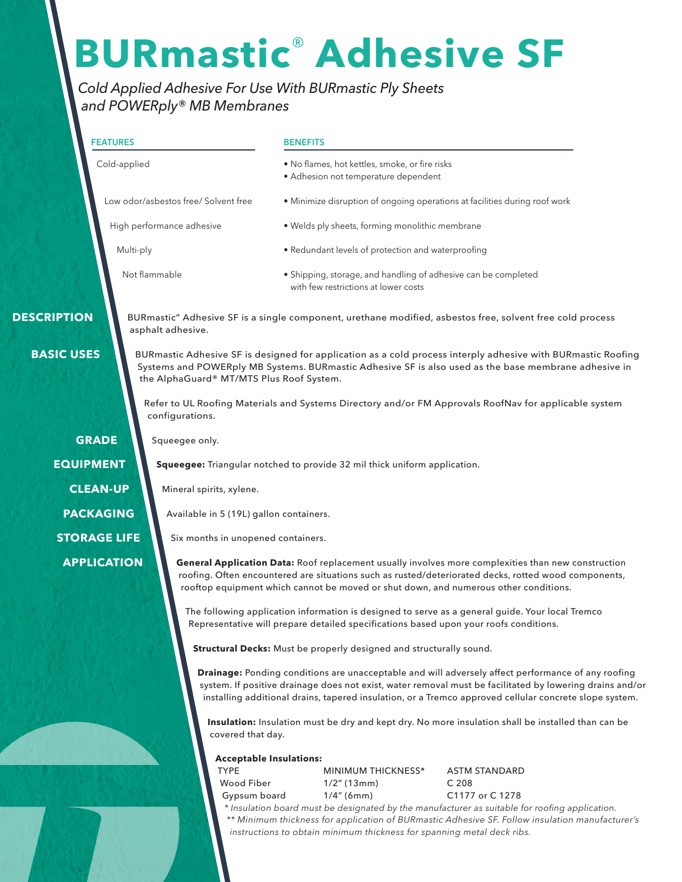# **BURmastic**® **Adhesive SF**

*Cold Applied Adhesive For Use With BURmastic Ply Sheets and POWERply® MB Membranes*

| <b>FEATURES</b><br>Cold-applied |                                          | <b>BENEFITS</b>                                                                                                                                                                                                                                                                                                          |  |
|---------------------------------|------------------------------------------|--------------------------------------------------------------------------------------------------------------------------------------------------------------------------------------------------------------------------------------------------------------------------------------------------------------------------|--|
|                                 |                                          | . No flames, hot kettles, smoke, or fire risks<br>• Adhesion not temperature dependent                                                                                                                                                                                                                                   |  |
|                                 | Low odor/asbestos free/ Solvent free     | • Minimize disruption of ongoing operations at facilities during roof work                                                                                                                                                                                                                                               |  |
|                                 | High performance adhesive                | . Welds ply sheets, forming monolithic membrane                                                                                                                                                                                                                                                                          |  |
| Multi-ply                       |                                          | • Redundant levels of protection and waterproofing                                                                                                                                                                                                                                                                       |  |
|                                 | Not flammable                            | • Shipping, storage, and handling of adhesive can be completed<br>with few restrictions at lower costs                                                                                                                                                                                                                   |  |
| <b>DESCRIPTION</b>              | asphalt adhesive.                        | BURmastic" Adhesive SF is a single component, urethane modified, asbestos free, solvent free cold process                                                                                                                                                                                                                |  |
| <b>BASIC USES</b>               | the AlphaGuard® MT/MTS Plus Roof System. | BURmastic Adhesive SF is designed for application as a cold process interply adhesive with BURmastic Roofing<br>Systems and POWERply MB Systems. BURmastic Adhesive SF is also used as the base membrane adhesive in                                                                                                     |  |
|                                 | configurations.                          | Refer to UL Roofing Materials and Systems Directory and/or FM Approvals RoofNav for applicable system                                                                                                                                                                                                                    |  |
| <b>GRADE</b>                    | Squeegee only.                           |                                                                                                                                                                                                                                                                                                                          |  |
| <b>EQUIPMENT</b>                |                                          | Squeegee: Triangular notched to provide 32 mil thick uniform application.                                                                                                                                                                                                                                                |  |
| <b>CLEAN-UP</b>                 | Mineral spirits, xylene.                 |                                                                                                                                                                                                                                                                                                                          |  |
| <b>PACKAGING</b>                | Available in 5 (19L) gallon containers.  |                                                                                                                                                                                                                                                                                                                          |  |
| <b>STORAGE LIFE</b>             | Six months in unopened containers.       |                                                                                                                                                                                                                                                                                                                          |  |
| <b>APPLICATION</b>              |                                          | General Application Data: Roof replacement usually involves more complexities than new construction<br>roofing. Often encountered are situations such as rusted/deteriorated decks, rotted wood components,<br>rooftop equipment which cannot be moved or shut down, and numerous other conditions.                      |  |
|                                 |                                          | The following application information is designed to serve as a general guide. Your local Tremco<br>Representative will prepare detailed specifications based upon your roofs conditions.                                                                                                                                |  |
|                                 |                                          | Structural Decks: Must be properly designed and structurally sound.                                                                                                                                                                                                                                                      |  |
|                                 |                                          | Drainage: Ponding conditions are unacceptable and will adversely affect performance of any roofing<br>system. If positive drainage does not exist, water removal must be facilitated by lowering drains and/or<br>installing additional drains, tapered insulation, or a Tremco approved cellular concrete slope system. |  |
|                                 | covered that day.                        | Insulation: Insulation must be dry and kept dry. No more insulation shall be installed than can be                                                                                                                                                                                                                       |  |
|                                 | <b>TYPE</b>                              | <b>Acceptable Insulations:</b><br>MINIMUM THICKNESS*<br><b>ASTM STANDARD</b>                                                                                                                                                                                                                                             |  |

| .                    |
|----------------------|
| Wood Fiber           |
| Gypsum board         |
| * Inculation board r |

1/2" (13mm) C 208 1/4" (6mm) C1177 or C 1278

*\* Insulation board must be designated by the manufacturer as suitable for roofing application. \*\* Minimum thickness for application of BURmastic Adhesive SF. Follow insulation manufacturer's instructions to obtain minimum thickness for spanning metal deck ribs.*